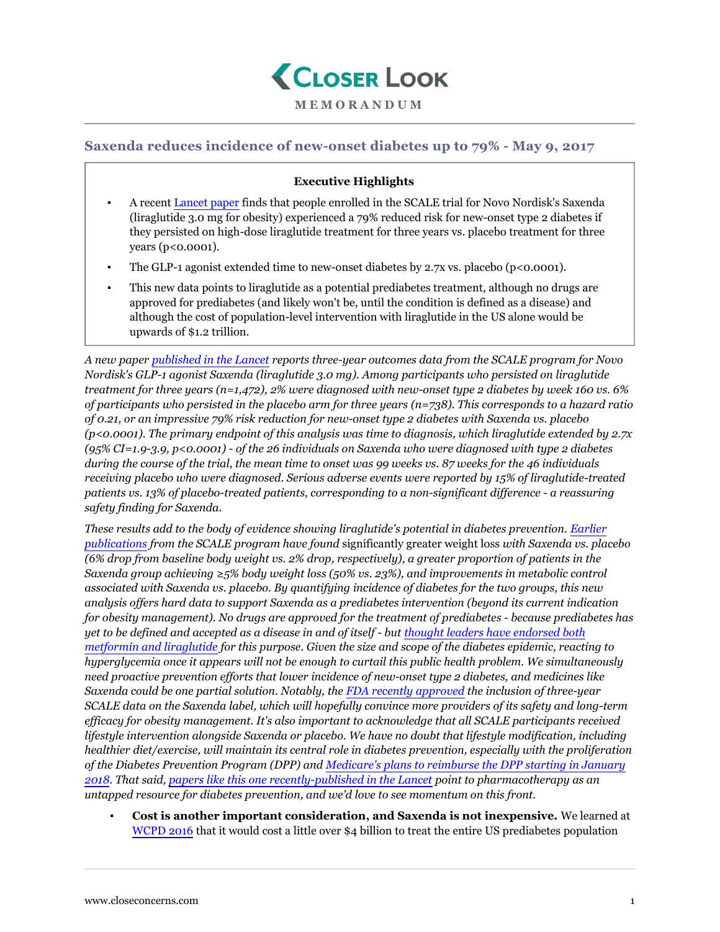

## **MEMORANDUM**

## **Saxenda reduces incidence of new-onset diabetes up to 79% - May 9, 2017**

## **Executive Highlights**

- A recent [Lancet paper](http://thelancet.com/journals/lancet/article/PIIS0140-6736(17)30069-7/fulltext) finds that people enrolled in the SCALE trial for Novo Nordisk's Saxenda (liraglutide 3.0 mg for obesity) experienced a 79% reduced risk for new-onset type 2 diabetes if they persisted on high-dose liraglutide treatment for three years vs. placebo treatment for three years (p<0.0001).
- The GLP-1 agonist extended time to new-onset diabetes by 2.7x vs. placebo ( $p<0.0001$ ).
- This new data points to liraglutide as a potential prediabetes treatment, although no drugs are approved for prediabetes (and likely won't be, until the condition is defined as a disease) and although the cost of population-level intervention with liraglutide in the US alone would be upwards of \$1.2 trillion.

*A new paper [published in the Lancet](http://thelancet.com/journals/lancet/article/PIIS0140-6736(17)30069-7/fulltext) reports three-year outcomes data from the SCALE program for Novo Nordisk's GLP-1 agonist Saxenda (liraglutide 3.0 mg). Among participants who persisted on liraglutide treatment for three years (n=1,472), 2% were diagnosed with new-onset type 2 diabetes by week 160 vs. 6% of participants who persisted in the placebo arm for three years (n=738). This corresponds to a hazard ratio of 0.21, or an impressive 79% risk reduction for new-onset type 2 diabetes with Saxenda vs. placebo (p<0.0001). The primary endpoint of this analysis was time to diagnosis, which liraglutide extended by 2.7x (95% CI=1.9-3.9, p<0.0001) - of the 26 individuals on Saxenda who were diagnosed with type 2 diabetes during the course of the trial, the mean time to onset was 99 weeks vs. 87 weeks for the 46 individuals receiving placebo who were diagnosed. Serious adverse events were reported by 15% of liraglutide-treated patients vs. 13% of placebo-treated patients, corresponding to a non-significant difference - a reassuring safety finding for Saxenda.*

*These results add to the body of evidence showing liraglutide's potential in diabetes prevention. [Earlier](https://www.closeconcerns.com/knowledgebase/r/be1b4566) [publications](https://www.closeconcerns.com/knowledgebase/r/be1b4566) from the SCALE program have found* significantly greater weight loss *with Saxenda vs. placebo (6% drop from baseline body weight vs. 2% drop, respectively), a greater proportion of patients in the Saxenda group achieving ≥5% body weight loss (50% vs. 23%), and improvements in metabolic control associated with Saxenda vs. placebo. By quantifying incidence of diabetes for the two groups, this new analysis offers hard data to support Saxenda as a prediabetes intervention (beyond its current indication for obesity management). No drugs are approved for the treatment of prediabetes - because prediabetes has yet to be defined and accepted as a disease in and of itself - but [thought leaders have endorsed both](https://www.closeconcerns.com/knowledgebase/r/d5f07347#Pharmaceutical_Interventions_for_Diabetes_Prevention) [metformin and liraglutide](https://www.closeconcerns.com/knowledgebase/r/d5f07347#Pharmaceutical_Interventions_for_Diabetes_Prevention) for this purpose. Given the size and scope of the diabetes epidemic, reacting to hyperglycemia once it appears will not be enough to curtail this public health problem. We simultaneously need proactive prevention efforts that lower incidence of new-onset type 2 diabetes, and medicines like Saxenda could be one partial solution. Notably, the [FDA recently approved](https://www.closeconcerns.com/knowledgebase/r/44bb8afa) the inclusion of three-year SCALE data on the Saxenda label, which will hopefully convince more providers of its safety and long-term efficacy for obesity management. It's also important to acknowledge that all SCALE participants received lifestyle intervention alongside Saxenda or placebo. We have no doubt that lifestyle modification, including healthier diet/exercise, will maintain its central role in diabetes prevention, especially with the proliferation of the Diabetes Prevention Program (DPP) and [Medicare's plans to reimburse the DPP starting in January](https://www.closeconcerns.com/knowledgebase/r/9ffee83d) [2018](https://www.closeconcerns.com/knowledgebase/r/9ffee83d). That said, [papers like this one recently-published in the Lancet](http://thelancet.com/journals/lancet/article/PIIS0140-6736(17)30069-7/fulltext) point to pharmacotherapy as an untapped resource for diabetes prevention, and we'd love to see momentum on this front.*

▪ **Cost is another important consideration, and Saxenda is not inexpensive.** We learned at [WCPD 2016](https://www.closeconcerns.com/knowledgebase/r/d5f07347#Pharmaceutical_Interventions_for_Diabetes_Prevention) that it would cost a little over \$4 billion to treat the entire US prediabetes population